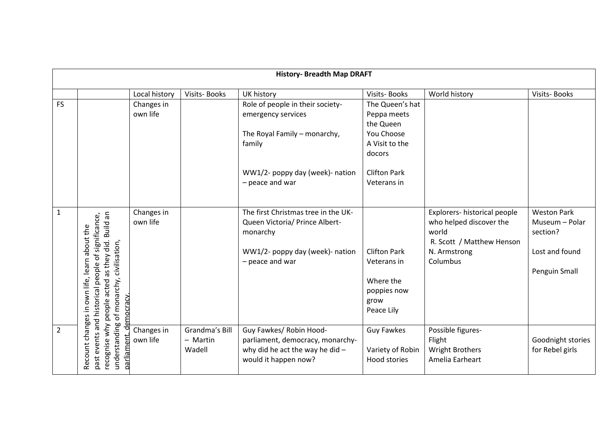| <b>History- Breadth Map DRAFT</b> |                                                                                                                                                                                 |                        |                                      |                                                                                                                                         |                                                                                       |                                                                                                                           |                                                                                     |  |
|-----------------------------------|---------------------------------------------------------------------------------------------------------------------------------------------------------------------------------|------------------------|--------------------------------------|-----------------------------------------------------------------------------------------------------------------------------------------|---------------------------------------------------------------------------------------|---------------------------------------------------------------------------------------------------------------------------|-------------------------------------------------------------------------------------|--|
|                                   |                                                                                                                                                                                 |                        |                                      |                                                                                                                                         |                                                                                       |                                                                                                                           |                                                                                     |  |
|                                   |                                                                                                                                                                                 | Local history          | Visits-Books                         | UK history                                                                                                                              | Visits-Books                                                                          | World history                                                                                                             | Visits-Books                                                                        |  |
| <b>FS</b>                         |                                                                                                                                                                                 | Changes in<br>own life |                                      | Role of people in their society-<br>emergency services<br>The Royal Family - monarchy,<br>family                                        | The Queen's hat<br>Peppa meets<br>the Queen<br>You Choose<br>A Visit to the<br>docors |                                                                                                                           |                                                                                     |  |
|                                   |                                                                                                                                                                                 |                        |                                      | WW1/2- poppy day (week)- nation<br>- peace and war                                                                                      | <b>Clifton Park</b><br>Veterans in                                                    |                                                                                                                           |                                                                                     |  |
| $\mathbf{1}$                      | recognise why people acted as they did. Build an<br>past events and historical people of significance,<br>about the<br>of monarchy, civilisation,<br>own life, learn<br>mocracy | Changes in<br>own life |                                      | The first Christmas tree in the UK-<br>Queen Victoria/ Prince Albert-<br>monarchy<br>WW1/2- poppy day (week)- nation<br>- peace and war | <b>Clifton Park</b><br>Veterans in<br>Where the<br>poppies now<br>grow<br>Peace Lily  | Explorers- historical people<br>who helped discover the<br>world<br>R. Scott / Matthew Henson<br>N. Armstrong<br>Columbus | <b>Weston Park</b><br>Museum - Polar<br>section?<br>Lost and found<br>Penguin Small |  |
| $\overline{2}$                    | Recount changes in<br>understanding<br>ヮ<br>parliament.                                                                                                                         | Changes in<br>own life | Grandma's Bill<br>- Martin<br>Wadell | Guy Fawkes/ Robin Hood-<br>parliament, democracy, monarchy-<br>why did he act the way he did $-$<br>would it happen now?                | <b>Guy Fawkes</b><br>Variety of Robin<br><b>Hood stories</b>                          | Possible figures-<br>Flight<br><b>Wright Brothers</b><br>Amelia Earheart                                                  | Goodnight stories<br>for Rebel girls                                                |  |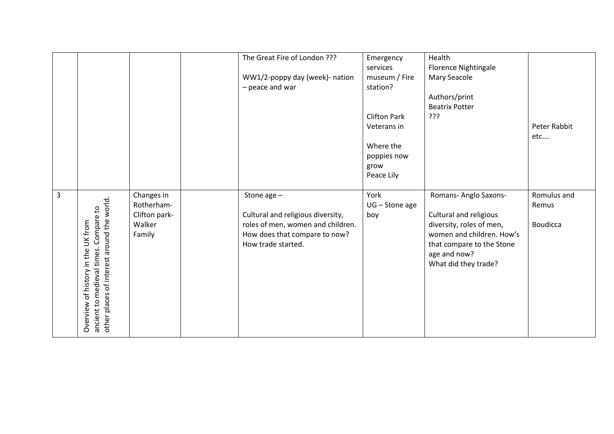|   |                                                                                                                              |                                                               | The Great Fire of London ???<br>WW1/2-poppy day (week)- nation<br>- peace and war                                                              | Emergency<br>services<br>museum / Fire<br>station?<br><b>Clifton Park</b><br>Veterans in<br>Where the<br>poppies now<br>grow<br>Peace Lily | Health<br>Florence Nightingale<br>Mary Seacole<br>Authors/print<br><b>Beatrix Potter</b><br>???                                                                               | Peter Rabbit<br>etc                     |
|---|------------------------------------------------------------------------------------------------------------------------------|---------------------------------------------------------------|------------------------------------------------------------------------------------------------------------------------------------------------|--------------------------------------------------------------------------------------------------------------------------------------------|-------------------------------------------------------------------------------------------------------------------------------------------------------------------------------|-----------------------------------------|
| 3 | other places of interest around the world.<br>Compare to<br>Overview of history in the UK from<br>ancient to medieval times. | Changes in<br>Rotherham-<br>Clifton park-<br>Walker<br>Family | Stone age $-$<br>Cultural and religious diversity,<br>roles of men, women and children.<br>How does that compare to now?<br>How trade started. | York<br>$UG - Stone$ age<br>boy                                                                                                            | Romans- Anglo Saxons-<br>Cultural and religious<br>diversity, roles of men,<br>women and children. How's<br>that compare to the Stone<br>age and now?<br>What did they trade? | Romulus and<br>Remus<br><b>Boudicca</b> |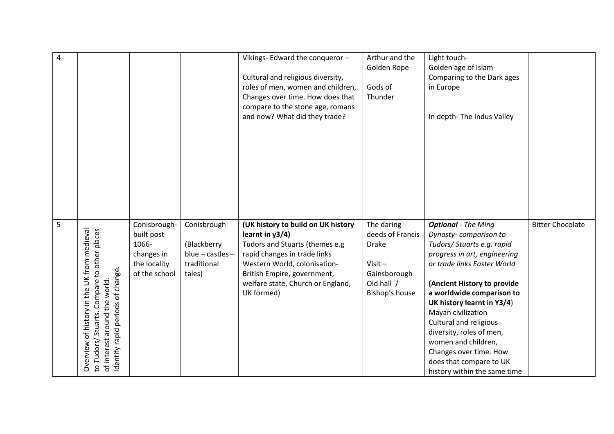| $\overline{4}$ |                                                                                                                                                                           |                                                                                    |                                                                           | Vikings-Edward the conqueror-<br>Cultural and religious diversity,<br>roles of men, women and children,<br>Changes over time. How does that<br>compare to the stone age, romans<br>and now? What did they trade?                             | Arthur and the<br>Golden Rope<br>Gods of<br>Thunder                                                         | Light touch-<br>Golden age of Islam-<br>Comparing to the Dark ages<br>in Europe<br>In depth-The Indus Valley                                                                                                                                                                                                                                                                                                                       |                         |
|----------------|---------------------------------------------------------------------------------------------------------------------------------------------------------------------------|------------------------------------------------------------------------------------|---------------------------------------------------------------------------|----------------------------------------------------------------------------------------------------------------------------------------------------------------------------------------------------------------------------------------------|-------------------------------------------------------------------------------------------------------------|------------------------------------------------------------------------------------------------------------------------------------------------------------------------------------------------------------------------------------------------------------------------------------------------------------------------------------------------------------------------------------------------------------------------------------|-------------------------|
| 5              | of history in the UK from medieval<br>Compare to other places<br>Identify rapid periods of change.<br>of interest around the world.<br>Stuarts.<br>to Tudors/<br>Overview | Conisbrough-<br>built post<br>1066-<br>changes in<br>the locality<br>of the school | Conisbrough<br>(Blackberry<br>$blue - castles -$<br>traditional<br>tales) | (UK history to build on UK history<br>learnt in $y3/4$ )<br>Tudors and Stuarts (themes e.g<br>rapid changes in trade links<br>Western World, colonisation-<br>British Empire, government,<br>welfare state, Church or England,<br>UK formed) | The daring<br>deeds of Francis<br><b>Drake</b><br>$Visit -$<br>Gainsborough<br>Old hall /<br>Bishop's house | <b>Optional</b> - The Ming<br>Dynasty-comparison to<br>Tudors/ Stuarts e.g. rapid<br>progress in art, engineering<br>or trade links Easter World<br>(Ancient History to provide<br>a worldwide comparison to<br>UK history learnt in Y3/4)<br>Mayan civilization<br>Cultural and religious<br>diversity, roles of men,<br>women and children,<br>Changes over time. How<br>does that compare to UK<br>history within the same time | <b>Bitter Chocolate</b> |